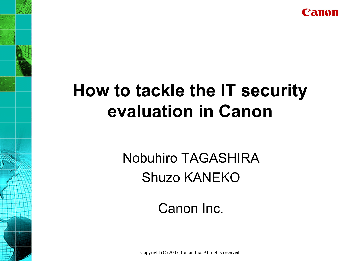

# How to tackle the IT security evaluation in Canon

# Nobuhiro TAGASHIRAShuzo KANEKO

#### Canon Inc.

Copyright (C) 2005, Canon Inc. All rights reserved.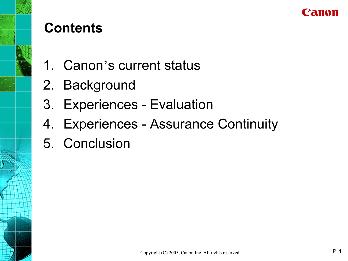

- 1. Canon's current status
- 2. Background
- 3. Experiences Evaluation
- 4. Experiences Assurance Continuity
- 5. Conclusion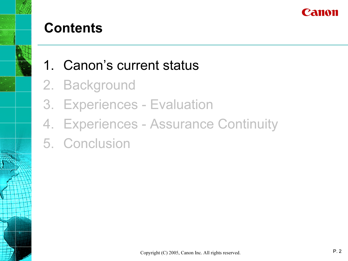

- 1. Canon's current status
- 2. Background
- 3. Experiences Evaluation
- 4. Experiences Assurance Continuity
- 5. Conclusion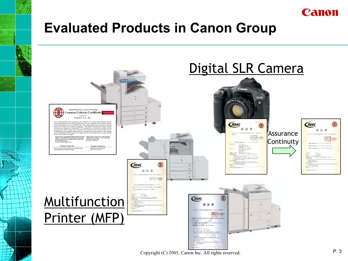

#### Evaluated Products in Canon Group



Copyright (C) 2005, Canon Inc. All rights reserved. P. 3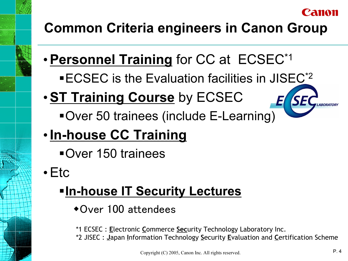#### l'amon

## Common Criteria engineers in Canon Group

- •Personnel Training for CC at ECSEC\*1
	- **ECSEC** is the Evaluation facilities in JISEC<sup>\*2</sup>
- **ST Training Course** by ECSEC

Over 50 trainees (include E-Learning)

## • In-house CC Training

Over 150 trainees

•Etc

## **-In-house IT Security Lectures**

Over 100 attendees

\*1 ECSEC : Electronic Commerce Security Technology Laboratory Inc.

\*2 JISEC : Japan Information Technology Security Evaluation and Certification Scheme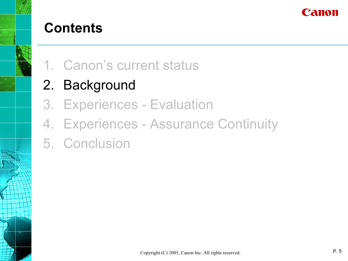

- 1. Canon's current status
- 2. Background
- 3. Experiences Evaluation
- 4. Experiences Assurance Continuity
- 5. Conclusion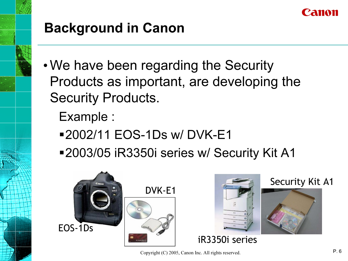

- •We have been regarding the Security Products as important, are developing the Security Products.
	- Example :
	- 2002/11 EOS-1Ds w/ DVK-E1
	- 2003/05 iR3350i series w/ Security Kit A1



Copyright (C) 2005, Canon Inc. All rights reserved. P. 6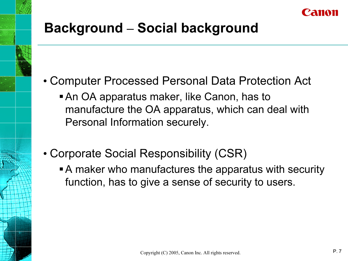

### Background – Social background

- Computer Processed Personal Data Protection Act
	- An OA apparatus maker, like Canon, has to manufacture the OA apparatus, which can deal with Personal Information securely.
- Corporate Social Responsibility (CSR)
	- A maker who manufactures the apparatus with security function, has to give a sense of security to users.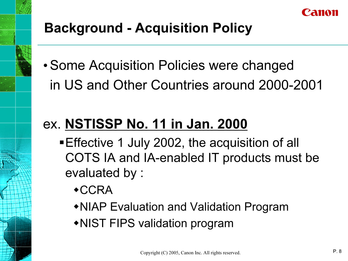

## Background - Acquisition Policy

•Some Acquisition Policies were changed in US and Other Countries around 2000-2001

## ex. NSTISSP No. 11 in Jan. 2000

- Effective 1 July 2002, the acquisition of all COTS IA and IA-enabled IT products must be evaluated by :
	- **\*CCRA**
	- NIAP Evaluation and Validation Program
	- NIST FIPS validation program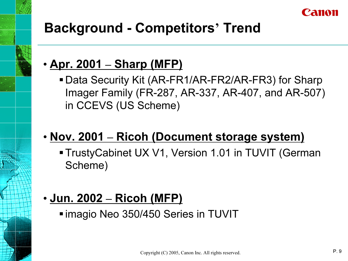

### Background - Competitors' Trend

#### <u>• Apr. 2001 – Sharp (MFP)</u>

Data Security Kit (AR-FR1/AR-FR2/AR-FR3) for Sharp Imager Family (FR-287, AR-337, AR-407, and AR-507) in CCEVS (US Scheme)

#### • Nov. 2001 – Ricoh (Document storage system)

TrustyCabinet UX V1, Version 1.01 in TUVIT (German Scheme)

#### <u>• Jun. 2002 – Ricoh (MFP)</u>

imagio Neo 350/450 Series in TUVIT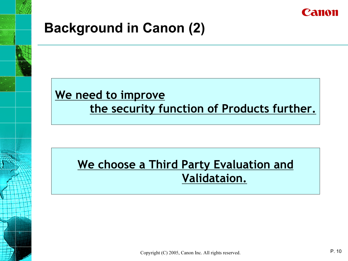

#### Background in Canon (2)

#### We need to improve the security function of Products further.

#### We choose a Third Party Evaluation and Validataion.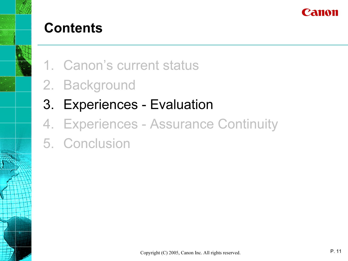

- 1. Canon's current status
- 2. Background
- 3. Experiences Evaluation
- 4. Experiences Assurance Continuity
- 5. Conclusion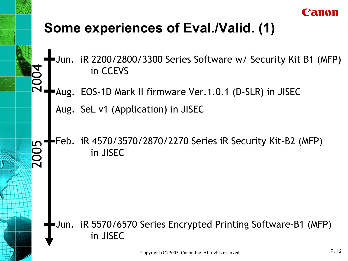

#### Some experiences of Eval./Valid. (1)

Jun. iR 2200/2800/3300 Series Software w/ Security Kit B1 (MFP) in CCEVS

Aug. EOS-1D Mark II firmware Ver.1.0.1 (D-SLR) in JISEC

Aug. SeL v1 (Application) in JISEC

2004

#### Feb. iR 4570/3570/2870/2270 Series iR Security Kit-B2 (MFP) in JISEC**00**

#### Jun. iR 5570/6570 Series Encrypted Printing Software-B1 (MFP) in JISEC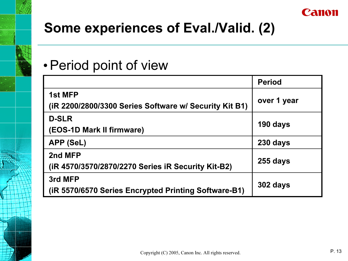

### Some experiences of Eval./Valid. (2)

#### •Period point of view

|                                                                   | <b>Period</b> |
|-------------------------------------------------------------------|---------------|
| 1st MFP<br>(iR 2200/2800/3300 Series Software w/ Security Kit B1) | over 1 year   |
| <b>D-SLR</b><br>(EOS-1D Mark II firmware)                         | 190 days      |
| APP (SeL)                                                         | 230 days      |
| 2nd MFP<br>(iR 4570/3570/2870/2270 Series iR Security Kit-B2)     | 255 days      |
| 3rd MFP<br>(iR 5570/6570 Series Encrypted Printing Software-B1)   | 302 days      |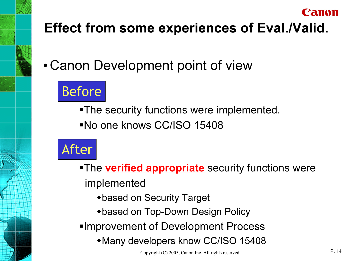# Effect from some experiences of Eval./Valid.

• Canon Development point of view

# Before

The security functions were implemented.

No one knows CC/ISO 15408



- **-The verified appropriate** security functions were implemented
	- based on Security Target
	- based on Top-Down Design Policy
- Improvement of Development Process
	- Many developers know CC/ISO 15408

Canon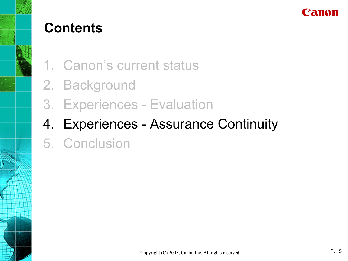

- 1. Canon's current status
- 2. Background
- 3. Experiences Evaluation
- 4. Experiences Assurance Continuity
- 5. Conclusion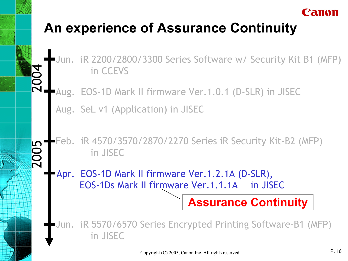## An experience of Assurance Continuity

Jun. iR 2200/2800/3300 Series Software w/ Security Kit B1 (MFP) in CCEVS

**Aug. EOS-1D Mark II firmware Ver.1.0.1 (D-SLR) in JISEC** 

Aug. SeL v1 (Application) in JISEC

2004

2005

#### Feb. iR 4570/3570/2870/2270 Series iR Security Kit-B2 (MFP) in JISEC

Apr. EOS-1D Mark II firmware Ver.1.2.1A (D-SLR), EOS-1Ds Mark II firmware Ver.1.1.1A in JISEC

Jun. iR 5570/6570 Series Encrypted Printing Software-B1 (MFP) in JISEC

Assurance Continuity

Canon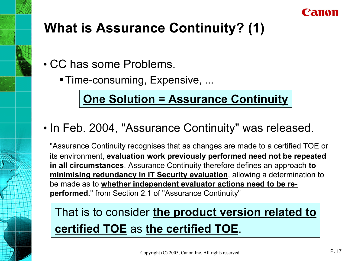

## What is Assurance Continuity? (1)

- CC has some Problems.
	- Time-consuming, Expensive, ...

#### One Solution = Assurance Continuity

#### • In Feb. 2004, "Assurance Continuity" was released.

"Assurance Continuity recognises that as changes are made to a certified TOE or its environment, evaluation work previously performed need not be repeated in all circumstances. Assurance Continuity therefore defines an approach to minimising redundancy in IT Security evaluation, allowing a determination to be made as to whether independent evaluator actions need to be reperformed." from Section 2.1 of "Assurance Continuity"

### That is to consider the product version related to certified TOE as the certified TOE.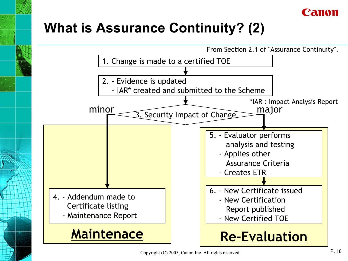

### What is Assurance Continuity? (2)



Copyright (C) 2005, Canon Inc. All rights reserved. P. 18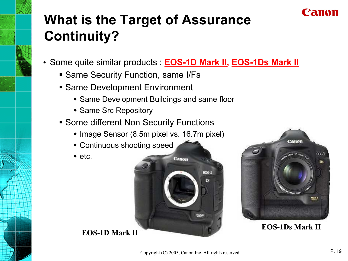

# What is the Target of Assurance Continuity?

- *•* Some quite similar products : EOS-1D Mark II, EOS-1Ds Mark II
	- **Same Security Function, same I/Fs**
	- Same Development Environment
		- Same Development Buildings and same floor
		- **\* Same Src Repository**
	- Some different Non Security Functions
		- ◆ Image Sensor (8.5m pixel vs. 16.7m pixel)
		- Continuous shooting speed
		- $\bullet$  etc.





#### EOS-1Ds Mark II

EOS-1D Mark II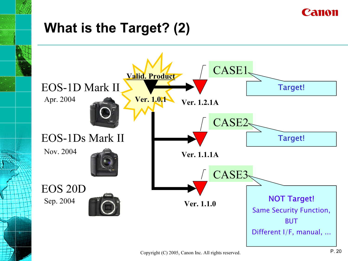

#### What is the Target? (2)

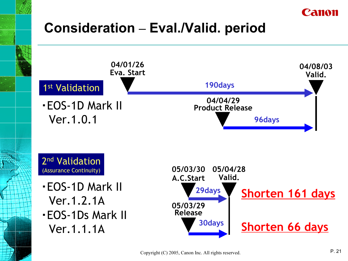

#### Consideration *–* Eval./Valid. period

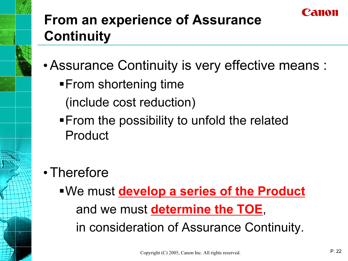# From an experience of Assurance **Continuity**

- •Assurance Continuity is very effective means :
	- **From shortening time** 
		- (include cost reduction)
	- **From the possibility to unfold the related** Product
- Therefore
	- . We must develop a series of the Product and we must determine the TOE, in consideration of Assurance Continuity.

zana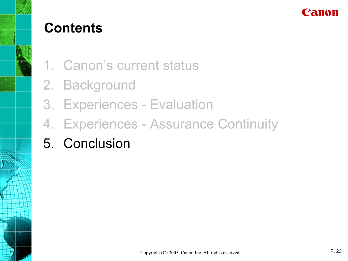

- 1. Canon's current status
- 2. Background
- 3. Experiences Evaluation
- 4. Experiences Assurance Continuity
- 5. Conclusion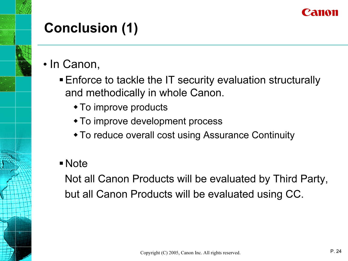

## Conclusion (1)

- In Canon,
	- Enforce to tackle the IT security evaluation structurally and methodically in whole Canon.
		- To improve products
		- To improve development process
		- To reduce overall cost using Assurance Continuity
	- Note

Not all Canon Products will be evaluated by Third Party, but all Canon Products will be evaluated using CC.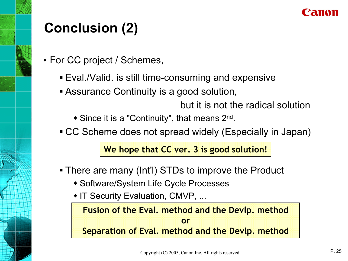

## Conclusion (2)

- *•* For CC project / Schemes,
	- Eval./Valid. is still time-consuming and expensive
	- **Exagged Assurance Continuity is a good solution,**

but it is not the radical solution

- ◆ Since it is a "Continuity", that means 2<sup>nd</sup>.
- CC Scheme does not spread widely (Especially in Japan)

We hope that CC ver. 3 is good solution!

- There are many (Int'l) STDs to improve the Product
	- Software/System Life Cycle Processes
	- IT Security Evaluation, CMVP, ...

Fusion of the Eval. method and the Devlp. method orSeparation of Eval. method and the Devlp. method